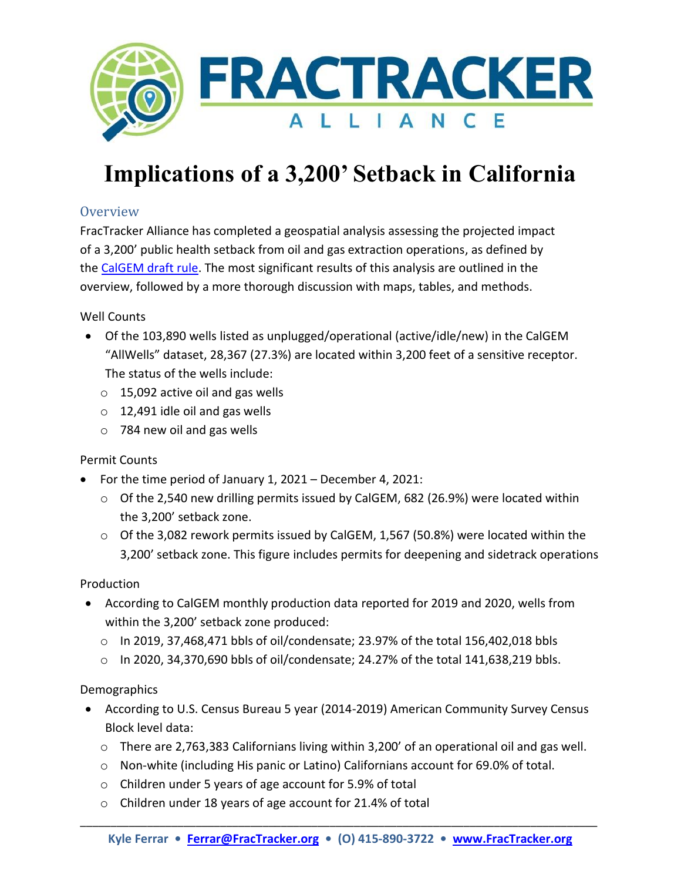

# **Implications of a 3,200' Setback in California**

## **Overview**

FracTracker Alliance has completed a geospatial analysis assessing the projected impact of a 3,200' public health setback from oil and gas extraction operations, as defined by the [CalGEM draft rule.](https://www.conservation.ca.gov/calgem/Documents/public-health/PHRM%20Draft%20Rule.pdf) The most significant results of this analysis are outlined in the overview, followed by a more thorough discussion with maps, tables, and methods.

Well Counts

- Of the 103,890 wells listed as unplugged/operational (active/idle/new) in the CalGEM "AllWells" dataset, 28,367 (27.3%) are located within 3,200 feet of a sensitive receptor. The status of the wells include:
	- $\circ$  15,092 active oil and gas wells
	- $\circ$  12,491 idle oil and gas wells
	- o 784 new oil and gas wells

### Permit Counts

- For the time period of January 1, 2021 December 4, 2021:
	- $\circ$  Of the 2,540 new drilling permits issued by CalGEM, 682 (26.9%) were located within the 3,200' setback zone.
	- o Of the 3,082 rework permits issued by CalGEM, 1,567 (50.8%) were located within the 3,200' setback zone. This figure includes permits for deepening and sidetrack operations

### Production

- According to CalGEM monthly production data reported for 2019 and 2020, wells from within the 3,200' setback zone produced:
	- $\circ$  In 2019, 37,468,471 bbls of oil/condensate; 23.97% of the total 156,402,018 bbls
	- $\circ$  In 2020, 34,370,690 bbls of oil/condensate; 24.27% of the total 141,638,219 bbls.

### Demographics

- According to U.S. Census Bureau 5 year (2014-2019) American Community Survey Census Block level data:
	- o There are 2,763,383 Californians living within 3,200' of an operational oil and gas well.
	- $\circ$  Non-white (including His panic or Latino) Californians account for 69.0% of total.
	- o Children under 5 years of age account for 5.9% of total
	- o Children under 18 years of age account for 21.4% of total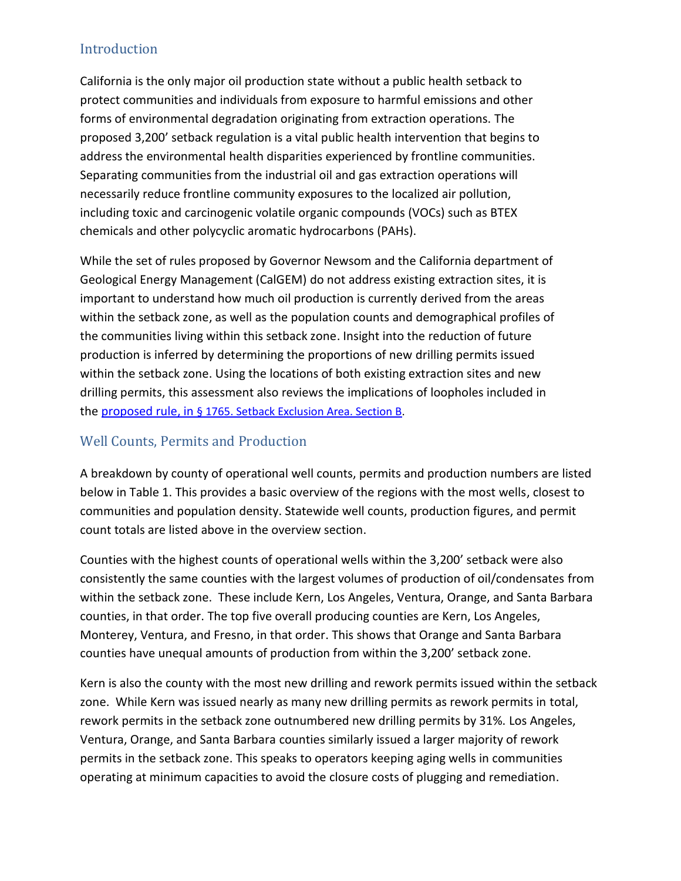## Introduction

California is the only major oil production state without a public health setback to protect communities and individuals from exposure to harmful emissions and other forms of environmental degradation originating from extraction operations. The proposed 3,200' setback regulation is a vital public health intervention that begins to address the environmental health disparities experienced by frontline communities. Separating communities from the industrial oil and gas extraction operations will necessarily reduce frontline community exposures to the localized air pollution, including toxic and carcinogenic volatile organic compounds (VOCs) such as BTEX chemicals and other polycyclic aromatic hydrocarbons (PAHs).

While the set of rules proposed by Governor Newsom and the California department of Geological Energy Management (CalGEM) do not address existing extraction sites, it is important to understand how much oil production is currently derived from the areas within the setback zone, as well as the population counts and demographical profiles of the communities living within this setback zone. Insight into the reduction of future production is inferred by determining the proportions of new drilling permits issued within the setback zone. Using the locations of both existing extraction sites and new drilling permits, this assessment also reviews the implications of loopholes included in the proposed rule, in [§ 1765. Setback Exclusion Area. Section B.](https://www.conservation.ca.gov/calgem/Documents/public-health/PHRM%20Draft%20Rule.pdf)

## Well Counts, Permits and Production

A breakdown by county of operational well counts, permits and production numbers are listed below in Table 1. This provides a basic overview of the regions with the most wells, closest to communities and population density. Statewide well counts, production figures, and permit count totals are listed above in the overview section.

Counties with the highest counts of operational wells within the 3,200' setback were also consistently the same counties with the largest volumes of production of oil/condensates from within the setback zone. These include Kern, Los Angeles, Ventura, Orange, and Santa Barbara counties, in that order. The top five overall producing counties are Kern, Los Angeles, Monterey, Ventura, and Fresno, in that order. This shows that Orange and Santa Barbara counties have unequal amounts of production from within the 3,200' setback zone.

Kern is also the county with the most new drilling and rework permits issued within the setback zone. While Kern was issued nearly as many new drilling permits as rework permits in total, rework permits in the setback zone outnumbered new drilling permits by 31%. Los Angeles, Ventura, Orange, and Santa Barbara counties similarly issued a larger majority of rework permits in the setback zone. This speaks to operators keeping aging wells in communities operating at minimum capacities to avoid the closure costs of plugging and remediation.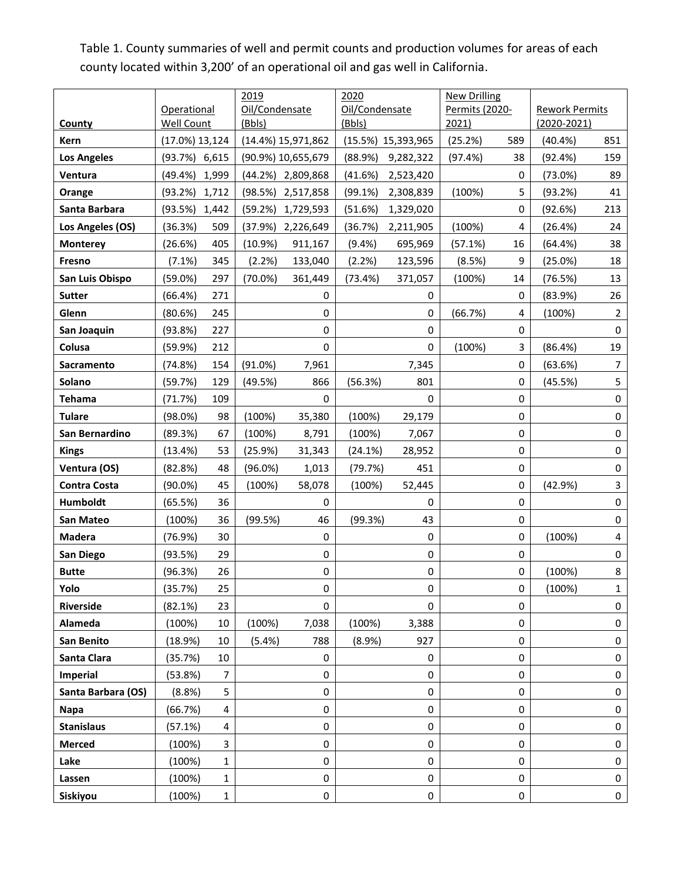Table 1. County summaries of well and permit counts and production volumes for areas of each county located within 3,200' of an operational oil and gas well in California.

|                     |                   |       | 2019           |                    | 2020           |                    | <b>New Drilling</b> |           |                       |                |
|---------------------|-------------------|-------|----------------|--------------------|----------------|--------------------|---------------------|-----------|-----------------------|----------------|
|                     | Operational       |       | Oil/Condensate |                    | Oil/Condensate |                    | Permits (2020-      |           | <b>Rework Permits</b> |                |
| <b>County</b>       | Well Count        |       | (Bbls)         |                    | (Bbls)         |                    | 2021)               |           | $(2020 - 2021)$       |                |
| Kern                | $(17.0\%)$ 13,124 |       |                | (14.4%) 15,971,862 |                | (15.5%) 15,393,965 | (25.2%)             | 589       | $(40.4\%)$            | 851            |
| <b>Los Angeles</b>  | (93.7%)           | 6,615 |                | (90.9%) 10,655,679 | (88.9%)        | 9,282,322          | (97.4%)             | 38        | (92.4%)               | 159            |
| Ventura             | (49.4%)           | 1,999 |                | (44.2%) 2,809,868  | (41.6%)        | 2,523,420          |                     | 0         | (73.0%)               | 89             |
| Orange              | (93.2%)           | 1,712 | (98.5%)        | 2,517,858          | (99.1%)        | 2,308,839          | (100%)              | 5         | (93.2%)               | 41             |
| Santa Barbara       | (93.5%)           | 1,442 | (59.2%)        | 1,729,593          | (51.6%)        | 1,329,020          |                     | 0         | (92.6%)               | 213            |
| Los Angeles (OS)    | (36.3%)           | 509   | (37.9%)        | 2,226,649          | (36.7%)        | 2,211,905          | (100%)              | 4         | (26.4%)               | 24             |
| <b>Monterey</b>     | (26.6%)           | 405   | $(10.9\%)$     | 911,167            | (9.4% )        | 695,969            | (57.1%)             | 16        | (64.4%)               | 38             |
| Fresno              | $(7.1\%)$         | 345   | (2.2%)         | 133,040            | (2.2%)         | 123,596            | (8.5%)              | 9         | (25.0%)               | 18             |
| San Luis Obispo     | (59.0%)           | 297   | $(70.0\%)$     | 361,449            | (73.4%)        | 371,057            | (100%)              | 14        | (76.5%)               | 13             |
| <b>Sutter</b>       | (66.4%)           | 271   |                | 0                  |                | 0                  |                     | 0         | (83.9%)               | 26             |
| Glenn               | (80.6%)           | 245   |                | 0                  |                | 0                  | (66.7%)             | 4         | (100%)                | $\overline{2}$ |
| San Joaquin         | (93.8%)           | 227   |                | 0                  |                | 0                  |                     | 0         |                       | 0              |
| Colusa              | (59.9%)           | 212   |                | 0                  |                | 0                  | (100%)              | 3         | (86.4%)               | 19             |
| Sacramento          | (74.8%)           | 154   | $(91.0\%)$     | 7,961              |                | 7,345              |                     | 0         | (63.6%)               | $\overline{7}$ |
| Solano              | (59.7%)           | 129   | (49.5%)        | 866                | (56.3%)        | 801                |                     | 0         | (45.5%)               | 5              |
| <b>Tehama</b>       | (71.7%)           | 109   |                | 0                  |                | 0                  |                     | 0         |                       | 0              |
| <b>Tulare</b>       | $(98.0\%)$        | 98    | (100%)         | 35,380             | (100%)         | 29,179             |                     | 0         |                       | 0              |
| San Bernardino      | (89.3%)           | 67    | (100%)         | 8,791              | (100%)         | 7,067              |                     | 0         |                       | 0              |
| <b>Kings</b>        | (13.4%)           | 53    | (25.9%)        | 31,343             | (24.1%)        | 28,952             |                     | 0         |                       | 0              |
| Ventura (OS)        | (82.8%)           | 48    | (96.0%)        | 1,013              | (79.7%)        | 451                |                     | 0         |                       | 0              |
| <b>Contra Costa</b> | $(90.0\%)$        | 45    | (100%)         | 58,078             | (100%)         | 52,445             |                     | 0         | (42.9%)               | 3              |
| Humboldt            | (65.5%)           | 36    |                | 0                  |                | 0                  |                     | 0         |                       | 0              |
| San Mateo           | (100%)            | 36    | (99.5%)        | 46                 | (99.3%)        | 43                 |                     | 0         |                       | 0              |
| Madera              | (76.9%)           | 30    |                | 0                  |                | 0                  |                     | 0         | (100%)                | 4              |
| San Diego           | (93.5%)           | 29    |                | 0                  |                | 0                  |                     | 0         |                       | 0              |
| <b>Butte</b>        | (96.3%)           | 26    |                | $\pmb{0}$          |                | 0                  |                     | $\pmb{0}$ | (100%)                | 8              |
| YOIO                | (35.7%)           | 25    |                | 0                  |                | U                  |                     | $\pmb{0}$ | (100%)                | 1              |
| <b>Riverside</b>    | (82.1%)           | 23    |                | 0                  |                | 0                  |                     | 0         |                       | 0              |
| Alameda             | (100%)            | 10    | (100%)         | 7,038              | (100%)         | 3,388              |                     | 0         |                       | 0              |
| San Benito          | (18.9%)           | 10    | (5.4%)         | 788                | (8.9%)         | 927                |                     | 0         |                       | 0              |
| Santa Clara         | (35.7%)           | 10    |                | 0                  |                | 0                  |                     | 0         |                       | 0              |
| <b>Imperial</b>     | (53.8%)           | 7     |                | 0                  |                | 0                  |                     | 0         |                       | 0              |
| Santa Barbara (OS)  | (8.8%)            | 5     |                | 0                  |                | 0                  |                     | 0         |                       | 0              |
| Napa                | (66.7%)           | 4     |                | 0                  |                | 0                  |                     | 0         |                       | 0              |
| <b>Stanislaus</b>   | (57.1%)           | 4     |                | 0                  |                | 0                  |                     | 0         |                       | 0              |
| <b>Merced</b>       | (100%)            | 3     |                | 0                  |                | 0                  |                     | 0         |                       | 0              |
| Lake                | (100%)            | 1     |                | 0                  |                | 0                  |                     | 0         |                       | 0              |
| Lassen              | (100%)            | 1     |                | 0                  |                | 0                  |                     | 0         |                       | 0              |
| Siskiyou            | (100%)            | 1     |                | 0                  |                | 0                  |                     | 0         |                       | 0              |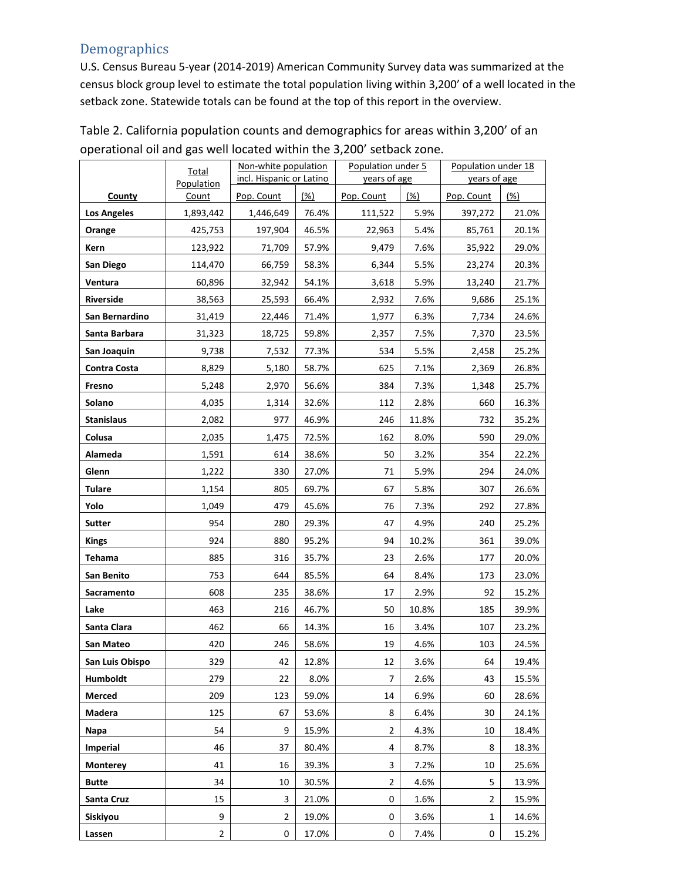## **Demographics**

U.S. Census Bureau 5-year (2014-2019) American Community Survey data was summarized at the census block group level to estimate the total population living within 3,200' of a well located in the setback zone. Statewide totals can be found at the top of this report in the overview.

|                     | <b>Total</b>   | Non-white population     |       | Population under 5 |       | Population under 18 |       |
|---------------------|----------------|--------------------------|-------|--------------------|-------|---------------------|-------|
|                     | Population     | incl. Hispanic or Latino |       | years of age       |       | years of age        |       |
| County              | Count          | Pop. Count               | (%)   | Pop. Count         | (%)   | Pop. Count          | (%)   |
| <b>Los Angeles</b>  | 1,893,442      | 1,446,649                | 76.4% | 111,522            | 5.9%  | 397,272             | 21.0% |
| Orange              | 425,753        | 197,904                  | 46.5% | 22,963             | 5.4%  | 85,761              | 20.1% |
| Kern                | 123,922        | 71,709                   | 57.9% | 9,479              | 7.6%  | 35,922              | 29.0% |
| San Diego           | 114,470        | 66,759                   | 58.3% | 6,344              | 5.5%  | 23,274              | 20.3% |
| Ventura             | 60,896         | 32,942                   | 54.1% | 3,618              | 5.9%  | 13,240              | 21.7% |
| <b>Riverside</b>    | 38,563         | 25,593                   | 66.4% | 2,932              | 7.6%  | 9,686               | 25.1% |
| San Bernardino      | 31,419         | 22,446                   | 71.4% | 1,977              | 6.3%  | 7,734               | 24.6% |
| Santa Barbara       | 31,323         | 18,725                   | 59.8% | 2,357              | 7.5%  | 7,370               | 23.5% |
| San Joaquin         | 9,738          | 7,532                    | 77.3% | 534                | 5.5%  | 2,458               | 25.2% |
| <b>Contra Costa</b> | 8,829          | 5,180                    | 58.7% | 625                | 7.1%  | 2,369               | 26.8% |
| Fresno              | 5,248          | 2,970                    | 56.6% | 384                | 7.3%  | 1,348               | 25.7% |
| Solano              | 4,035          | 1,314                    | 32.6% | 112                | 2.8%  | 660                 | 16.3% |
| <b>Stanislaus</b>   | 2,082          | 977                      | 46.9% | 246                | 11.8% | 732                 | 35.2% |
| Colusa              | 2,035          | 1,475                    | 72.5% | 162                | 8.0%  | 590                 | 29.0% |
| Alameda             | 1,591          | 614                      | 38.6% | 50                 | 3.2%  | 354                 | 22.2% |
| Glenn               | 1,222          | 330                      | 27.0% | 71                 | 5.9%  | 294                 | 24.0% |
| <b>Tulare</b>       | 1,154          | 805                      | 69.7% | 67                 | 5.8%  | 307                 | 26.6% |
| Yolo                | 1,049          | 479                      | 45.6% | 76                 | 7.3%  | 292                 | 27.8% |
| <b>Sutter</b>       | 954            | 280                      | 29.3% | 47                 | 4.9%  | 240                 | 25.2% |
| <b>Kings</b>        | 924            | 880                      | 95.2% | 94                 | 10.2% | 361                 | 39.0% |
| Tehama              | 885            | 316                      | 35.7% | 23                 | 2.6%  | 177                 | 20.0% |
| San Benito          | 753            | 644                      | 85.5% | 64                 | 8.4%  | 173                 | 23.0% |
| Sacramento          | 608            | 235                      | 38.6% | 17                 | 2.9%  | 92                  | 15.2% |
| Lake                | 463            | 216                      | 46.7% | 50                 | 10.8% | 185                 | 39.9% |
| Santa Clara         | 462            | 66                       | 14.3% | 16                 | 3.4%  | 107                 | 23.2% |
| San Mateo           | 420            | 246                      | 58.6% | 19                 | 4.6%  | 103                 | 24.5% |
| San Luis Obispo     | 329            | 42                       | 12.8% | 12                 | 3.6%  | 64                  | 19.4% |
| <b>Humboldt</b>     | 279            | 22                       | 8.0%  | 7                  | 2.6%  | 43                  | 15.5% |
| Merced              | 209            | 123                      | 59.0% | 14                 | 6.9%  | 60                  | 28.6% |
| Madera              | 125            | 67                       | 53.6% | 8                  | 6.4%  | 30                  | 24.1% |
| Napa                | 54             | 9                        | 15.9% | $\overline{2}$     | 4.3%  | 10                  | 18.4% |
| <b>Imperial</b>     | 46             | 37                       | 80.4% | 4                  | 8.7%  | 8                   | 18.3% |
| <b>Monterey</b>     | 41             | 16                       | 39.3% | 3                  | 7.2%  | 10                  | 25.6% |
| <b>Butte</b>        | 34             | 10                       | 30.5% | 2                  | 4.6%  | 5                   | 13.9% |
| Santa Cruz          | 15             | 3                        | 21.0% | 0                  | 1.6%  | 2                   | 15.9% |
| Siskiyou            | 9              | $\overline{2}$           | 19.0% | 0                  | 3.6%  | $\mathbf{1}$        | 14.6% |
| Lassen              | $\overline{2}$ | 0                        | 17.0% | 0                  | 7.4%  | 0                   | 15.2% |

Table 2. California population counts and demographics for areas within 3,200' of an operational oil and gas well located within the 3,200' setback zone.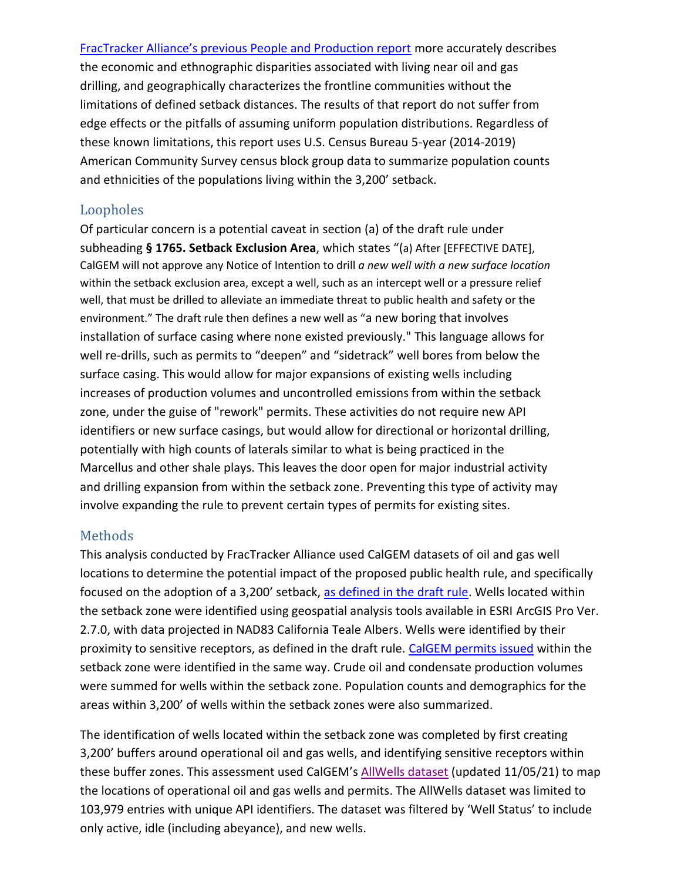[FracTracker Alliance's previous People and Production report](https://www.fractracker.org/2020/12/people-and-production/) more accurately describes the economic and ethnographic disparities associated with living near oil and gas drilling, and geographically characterizes the frontline communities without the limitations of defined setback distances. The results of that report do not suffer from edge effects or the pitfalls of assuming uniform population distributions. Regardless of these known limitations, this report uses U.S. Census Bureau 5-year (2014-2019) American Community Survey census block group data to summarize population counts and ethnicities of the populations living within the 3,200' setback.

## Loopholes

Of particular concern is a potential caveat in section (a) of the draft rule under subheading **§ 1765. Setback Exclusion Area**, which states "(a) After [EFFECTIVE DATE], CalGEM will not approve any Notice of Intention to drill *a new well with a new surface location* within the setback exclusion area, except a well, such as an intercept well or a pressure relief well, that must be drilled to alleviate an immediate threat to public health and safety or the environment." The draft rule then defines a new well as "a new boring that involves installation of surface casing where none existed previously." This language allows for well re-drills, such as permits to "deepen" and "sidetrack" well bores from below the surface casing. This would allow for major expansions of existing wells including increases of production volumes and uncontrolled emissions from within the setback zone, under the guise of "rework" permits. These activities do not require new API identifiers or new surface casings, but would allow for directional or horizontal drilling, potentially with high counts of laterals similar to what is being practiced in the Marcellus and other shale plays. This leaves the door open for major industrial activity and drilling expansion from within the setback zone. Preventing this type of activity may involve expanding the rule to prevent certain types of permits for existing sites.

### Methods

This analysis conducted by FracTracker Alliance used CalGEM datasets of oil and gas well locations to determine the potential impact of the proposed public health rule, and specifically focused on the adoption of a 3,200' setback, [as defined in the draft rule.](https://www.conservation.ca.gov/calgem/Documents/public-health/PHRM%20Draft%20Rule.pdf) Wells located within the setback zone were identified using geospatial analysis tools available in ESRI ArcGIS Pro Ver. 2.7.0, with data projected in NAD83 California Teale Albers. Wells were identified by their proximity to sensitive receptors, as defined in the draft rule. [CalGEM permits issued](https://www.conservation.ca.gov/calgem/Online_Data) within the setback zone were identified in the same way. Crude oil and condensate production volumes were summed for wells within the setback zone. Population counts and demographics for the areas within 3,200' of wells within the setback zones were also summarized.

The identification of wells located within the setback zone was completed by first creating 3,200' buffers around operational oil and gas wells, and identifying sensitive receptors within these buffer zones. This assessment used CalGEM's [AllWells dataset](https://www.conservation.ca.gov/calgem/Online_Data) (updated 11/05/21) to map the locations of operational oil and gas wells and permits. The AllWells dataset was limited to 103,979 entries with unique API identifiers. The dataset was filtered by 'Well Status' to include only active, idle (including abeyance), and new wells.